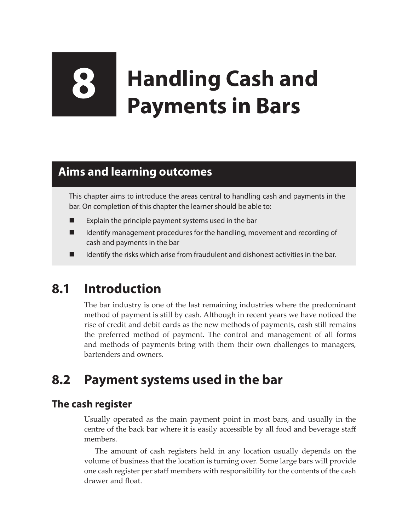# **8 Handling Cash and Payments in Bars**

# **Aims and learning outcomes**

This chapter aims to introduce the areas central to handling cash and payments in the bar. On completion of this chapter the learner should be able to:

- Explain the principle payment systems used in the bar
- Identify management procedures for the handling, movement and recording of cash and payments in the bar
- Identify the risks which arise from fraudulent and dishonest activities in the bar.

# **8.1 Introduction**

The bar industry is one of the last remaining industries where the predominant method of payment is still by cash. Although in recent years we have noticed the rise of credit and debit cards as the new methods of payments, cash still remains the preferred method of payment. The control and management of all forms and methods of payments bring with them their own challenges to managers, bartenders and owners.

# **8.2 Payment systems used in the bar**

# **The cash register**

Usually operated as the main payment point in most bars, and usually in the centre of the back bar where it is easily accessible by all food and beverage staff members.

The amount of cash registers held in any location usually depends on the volume of business that the location is turning over. Some large bars will provide one cash register per staff members with responsibility for the contents of the cash drawer and float.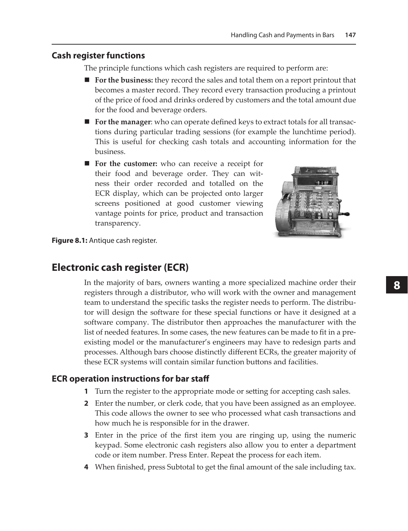#### **Cash register functions**

The principle functions which cash registers are required to perform are:

- **For the business:** they record the sales and total them on a report printout that becomes a master record. They record every transaction producing a printout of the price of food and drinks ordered by customers and the total amount due for the food and beverage orders.
- **For the manager:** who can operate defined keys to extract totals for all transactions during particular trading sessions (for example the lunchtime period). This is useful for checking cash totals and accounting information for the business.
- **For the customer:** who can receive a receipt for their food and beverage order. They can witness their order recorded and totalled on the ECR display, which can be projected onto larger screens positioned at good customer viewing vantage points for price, product and transaction transparency.



**Figure 8.1:** Antique cash register.

## **Electronic cash register (ECR)**

In the majority of bars, owners wanting a more specialized machine order their registers through a distributor, who will work with the owner and management team to understand the specific tasks the register needs to perform. The distributor will design the software for these special functions or have it designed at a software company. The distributor then approaches the manufacturer with the list of needed features. In some cases, the new features can be made to fit in a preexisting model or the manufacturer's engineers may have to redesign parts and processes. Although bars choose distinctly different ECRs, the greater majority of these ECR systems will contain similar function buttons and facilities.

#### **ECR operation instructions for bar staff**

- **1** Turn the register to the appropriate mode or setting for accepting cash sales.
- **2** Enter the number, or clerk code, that you have been assigned as an employee. This code allows the owner to see who processed what cash transactions and how much he is responsible for in the drawer.
- **3** Enter in the price of the first item you are ringing up, using the numeric keypad. Some electronic cash registers also allow you to enter a department code or item number. Press Enter. Repeat the process for each item.
- **4** When finished, press Subtotal to get the final amount of the sale including tax.